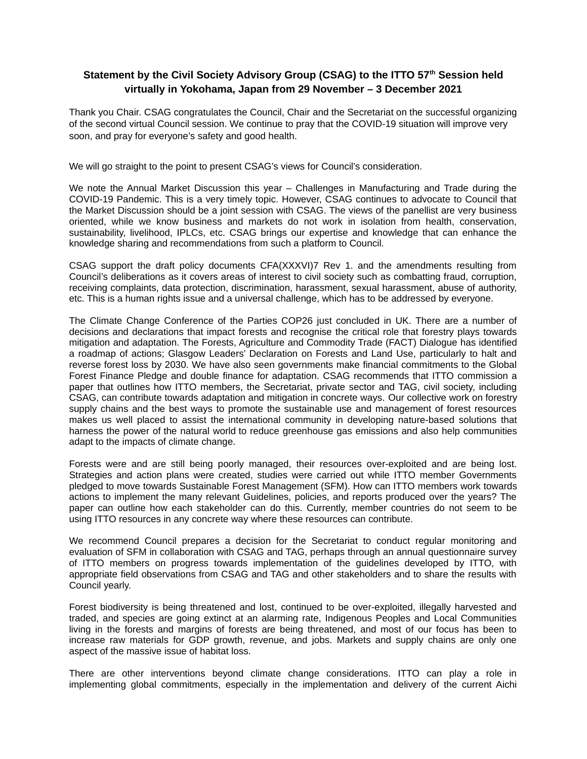## **Statement by the Civil Society Advisory Group (CSAG) to the ITTO 57th Session held virtually in Yokohama, Japan from 29 November – 3 December 2021**

Thank you Chair. CSAG congratulates the Council, Chair and the Secretariat on the successful organizing of the second virtual Council session. We continue to pray that the COVID-19 situation will improve very soon, and pray for everyone's safety and good health.

We will go straight to the point to present CSAG's views for Council's consideration.

We note the Annual Market Discussion this year – Challenges in Manufacturing and Trade during the COVID-19 Pandemic. This is a very timely topic. However, CSAG continues to advocate to Council that the Market Discussion should be a joint session with CSAG. The views of the panellist are very business oriented, while we know business and markets do not work in isolation from health, conservation, sustainability, livelihood, IPLCs, etc. CSAG brings our expertise and knowledge that can enhance the knowledge sharing and recommendations from such a platform to Council.

CSAG support the draft policy documents CFA(XXXVI)7 Rev 1. and the amendments resulting from Council's deliberations as it covers areas of interest to civil society such as combatting fraud, corruption, receiving complaints, data protection, discrimination, harassment, sexual harassment, abuse of authority, etc. This is a human rights issue and a universal challenge, which has to be addressed by everyone.

The Climate Change Conference of the Parties COP26 just concluded in UK. There are a number of decisions and declarations that impact forests and recognise the critical role that forestry plays towards mitigation and adaptation. The Forests, Agriculture and Commodity Trade (FACT) Dialogue has identified a roadmap of actions; Glasgow Leaders' Declaration on Forests and Land Use, particularly to halt and reverse forest loss by 2030. We have also seen governments make financial commitments to the Global Forest Finance Pledge and double finance for adaptation. CSAG recommends that ITTO commission a paper that outlines how ITTO members, the Secretariat, private sector and TAG, civil society, including CSAG, can contribute towards adaptation and mitigation in concrete ways. Our collective work on forestry supply chains and the best ways to promote the sustainable use and management of forest resources makes us well placed to assist the international community in developing nature-based solutions that harness the power of the natural world to reduce greenhouse gas emissions and also help communities adapt to the impacts of climate change.

Forests were and are still being poorly managed, their resources over-exploited and are being lost. Strategies and action plans were created, studies were carried out while ITTO member Governments pledged to move towards Sustainable Forest Management (SFM). How can ITTO members work towards actions to implement the many relevant Guidelines, policies, and reports produced over the years? The paper can outline how each stakeholder can do this. Currently, member countries do not seem to be using ITTO resources in any concrete way where these resources can contribute.

We recommend Council prepares a decision for the Secretariat to conduct regular monitoring and evaluation of SFM in collaboration with CSAG and TAG, perhaps through an annual questionnaire survey of ITTO members on progress towards implementation of the guidelines developed by ITTO, with appropriate field observations from CSAG and TAG and other stakeholders and to share the results with Council yearly.

Forest biodiversity is being threatened and lost, continued to be over-exploited, illegally harvested and traded, and species are going extinct at an alarming rate, Indigenous Peoples and Local Communities living in the forests and margins of forests are being threatened, and most of our focus has been to increase raw materials for GDP growth, revenue, and jobs. Markets and supply chains are only one aspect of the massive issue of habitat loss.

There are other interventions beyond climate change considerations. ITTO can play a role in implementing global commitments, especially in the implementation and delivery of the current Aichi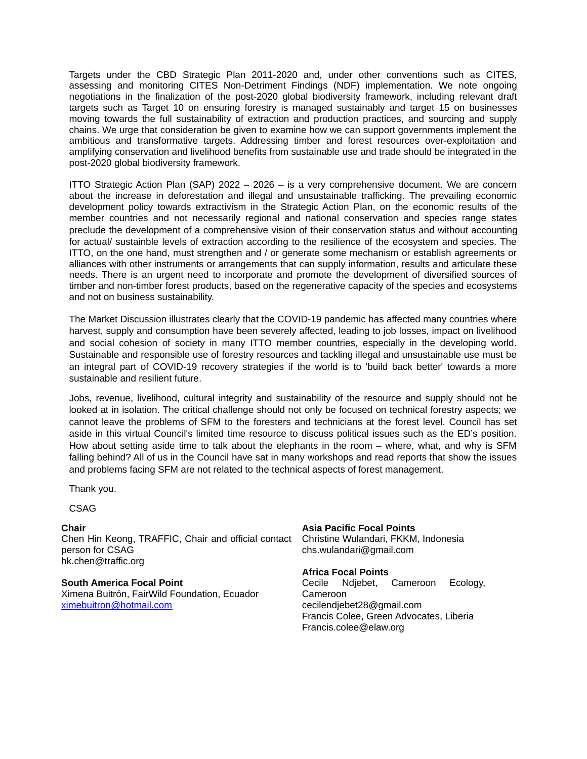Targets under the CBD Strategic Plan 2011-2020 and, under other conventions such as CITES, assessing and monitoring CITES Non-Detriment Findings (NDF) implementation. We note ongoing negotiations in the finalization of the post-2020 global biodiversity framework, including relevant draft targets such as Target 10 on ensuring forestry is managed sustainably and target 15 on businesses moving towards the full sustainability of extraction and production practices, and sourcing and supply chains. We urge that consideration be given to examine how we can support governments implement the ambitious and transformative targets. Addressing timber and forest resources over-exploitation and amplifying conservation and livelihood benefits from sustainable use and trade should be integrated in the post-2020 global biodiversity framework.

ITTO Strategic Action Plan (SAP) 2022 – 2026 – is a very comprehensive document. We are concern about the increase in deforestation and illegal and unsustainable trafficking. The prevailing economic development policy towards extractivism in the Strategic Action Plan, on the economic results of the member countries and not necessarily regional and national conservation and species range states preclude the development of a comprehensive vision of their conservation status and without accounting for actual/ sustainble levels of extraction according to the resilience of the ecosystem and species. The ITTO, on the one hand, must strengthen and / or generate some mechanism or establish agreements or alliances with other instruments or arrangements that can supply information, results and articulate these needs. There is an urgent need to incorporate and promote the development of diversified sources of timber and non-timber forest products, based on the regenerative capacity of the species and ecosystems and not on business sustainability.

The Market Discussion illustrates clearly that the COVID-19 pandemic has affected many countries where harvest, supply and consumption have been severely affected, leading to job losses, impact on livelihood and social cohesion of society in many ITTO member countries, especially in the developing world. Sustainable and responsible use of forestry resources and tackling illegal and unsustainable use must be an integral part of COVID-19 recovery strategies if the world is to 'build back better' towards a more sustainable and resilient future.

Jobs, revenue, livelihood, cultural integrity and sustainability of the resource and supply should not be looked at in isolation. The critical challenge should not only be focused on technical forestry aspects; we cannot leave the problems of SFM to the foresters and technicians at the forest level. Council has set aside in this virtual Council's limited time resource to discuss political issues such as the ED's position. How about setting aside time to talk about the elephants in the room – where, what, and why is SFM falling behind? All of us in the Council have sat in many workshops and read reports that show the issues and problems facing SFM are not related to the technical aspects of forest management.

Thank you.

CSAG

## **Chair**

Chen Hin Keong, TRAFFIC, Chair and official contact Christine Wulandari, FKKM, Indonesia person for CSAG hk.chen@traffic.org

**South America Focal Point**

Ximena Buitrón, FairWild Foundation, Ecuador [ximebuitron@hotmail.com](mailto:ximebuitron@hotmail.com)

**Asia Pacific Focal Points** chs.wulandari@gmail.com

**Africa Focal Points** Cecile Ndjebet, Cameroon Ecology, Cameroon cecilendjebet28@gmail.com Francis Colee, Green Advocates, Liberia Francis.colee@elaw.org